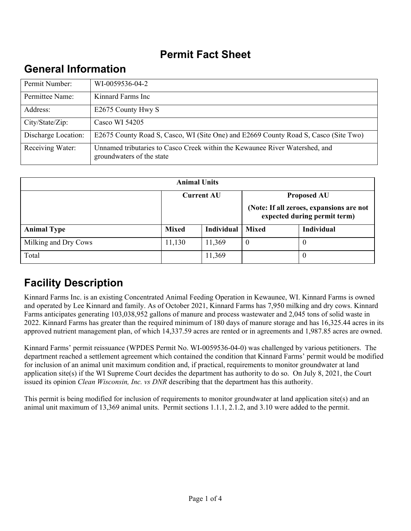## **Permit Fact Sheet**

# **General Information**

| Permit Number:      | WI-0059536-04-2                                                                                          |
|---------------------|----------------------------------------------------------------------------------------------------------|
| Permittee Name:     | Kinnard Farms Inc                                                                                        |
| Address:            | E2675 County Hwy S                                                                                       |
| City/State/Zip:     | Casco WI 54205                                                                                           |
| Discharge Location: | E2675 County Road S, Casco, WI (Site One) and E2669 County Road S, Casco (Site Two)                      |
| Receiving Water:    | Unnamed tributaries to Casco Creek within the Kewaunee River Watershed, and<br>groundwaters of the state |

| <b>Animal Units</b>  |                   |                   |                                                                          |                    |
|----------------------|-------------------|-------------------|--------------------------------------------------------------------------|--------------------|
|                      | <b>Current AU</b> |                   |                                                                          | <b>Proposed AU</b> |
|                      |                   |                   | (Note: If all zeroes, expansions are not<br>expected during permit term) |                    |
| <b>Animal Type</b>   | <b>Mixed</b>      | <b>Individual</b> | <b>Mixed</b>                                                             | Individual         |
| Milking and Dry Cows | 11,130            | 11,369            | $\theta$                                                                 | $\theta$           |
| Total                |                   | 11,369            |                                                                          |                    |

# **Facility Description**

Kinnard Farms Inc. is an existing Concentrated Animal Feeding Operation in Kewaunee, WI. Kinnard Farms is owned and operated by Lee Kinnard and family. As of October 2021, Kinnard Farms has 7,950 milking and dry cows. Kinnard Farms anticipates generating 103,038,952 gallons of manure and process wastewater and 2,045 tons of solid waste in 2022. Kinnard Farms has greater than the required minimum of 180 days of manure storage and has 16,325.44 acres in its approved nutrient management plan, of which 14,337.59 acres are rented or in agreements and 1,987.85 acres are owned.

Kinnard Farms' permit reissuance (WPDES Permit No. WI-0059536-04-0) was challenged by various petitioners. The department reached a settlement agreement which contained the condition that Kinnard Farms' permit would be modified for inclusion of an animal unit maximum condition and, if practical, requirements to monitor groundwater at land application site(s) if the WI Supreme Court decides the department has authority to do so. On July 8, 2021, the Court issued its opinion *Clean Wisconsin, Inc. vs DNR* describing that the department has this authority.

This permit is being modified for inclusion of requirements to monitor groundwater at land application site(s) and an animal unit maximum of 13,369 animal units. Permit sections 1.1.1, 2.1.2, and 3.10 were added to the permit.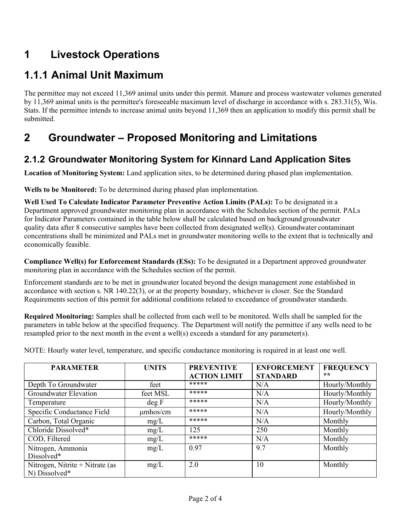# **1 Livestock Operations**

# **1.1.1Animal Unit Maximum**

The permittee may not exceed 11,369 animal units under this permit. Manure and process wastewater volumes generated by 11,369 animal units is the permittee's foreseeable maximum level of discharge in accordance with s. 283.31(5), Wis. Stats. If the permittee intends to increase animal units beyond 11,369 then an application to modify this permit shall be submitted.

# **2 Groundwater – Proposed Monitoring and Limitations**

### **2.1.2 Groundwater Monitoring System for Kinnard Land Application Sites**

**Location of Monitoring System:** Land application sites, to be determined during phased plan implementation.

**Wells to be Monitored:** To be determined during phased plan implementation.

**Well Used To Calculate Indicator Parameter Preventive Action Limits (PALs):** To be designated in a Department approved groundwater monitoring plan in accordance with the Schedules section of the permit. PALs for Indicator Parameters contained in the table below shall be calculated based on background groundwater quality data after 8 consecutive samples have been collected from designated well(s). Groundwater contaminant concentrations shall be minimized and PALs met in groundwater monitoring wells to the extent that is technically and economically feasible.

**Compliance Well(s) for Enforcement Standards (ESs):** To be designated in a Department approved groundwater monitoring plan in accordance with the Schedules section of the permit.

Enforcement standards are to be met in groundwater located beyond the design management zone established in accordance with section s. NR 140.22(3), or at the property boundary, whichever is closer. See the Standard Requirements section of this permit for additional conditions related to exceedance of groundwater standards.

**Required Monitoring:** Samples shall be collected from each well to be monitored. Wells shall be sampled for the parameters in table below at the specified frequency. The Department will notify the permittee if any wells need to be resampled prior to the next month in the event a well(s) exceeds a standard for any parameter(s).

NOTE: Hourly water level, temperature, and specific conductance monitoring is required in at least one well.

| <b>PARAMETER</b>                                 | <b>UNITS</b>  | <b>PREVENTIVE</b>   | <b>ENFORCEMENT</b> | <b>FREQUENCY</b> |
|--------------------------------------------------|---------------|---------------------|--------------------|------------------|
|                                                  |               | <b>ACTION LIMIT</b> | <b>STANDARD</b>    | **               |
| Depth To Groundwater                             | feet          | *****               | N/A                | Hourly/Monthly   |
| Groundwater Elevation                            | feet MSL      | *****               | N/A                | Hourly/Monthly   |
| Temperature                                      | deg F         | *****               | N/A                | Hourly/Monthly   |
| Specific Conductance Field                       | $\mu$ mhos/cm | *****               | N/A                | Hourly/Monthly   |
| Carbon, Total Organic                            | mg/L          | *****               | N/A                | Monthly          |
| Chloride Dissolved*                              | mg/L          | 125                 | 250                | Monthly          |
| COD, Filtered                                    | mg/L          | *****               | N/A                | Monthly          |
| Nitrogen, Ammonia<br>Dissolved*                  | mg/L          | 0.97                | 9.7                | Monthly          |
| Nitrogen, Nitrite + Nitrate (as<br>N) Dissolved* | mg/L          | 2.0                 | 10                 | Monthly          |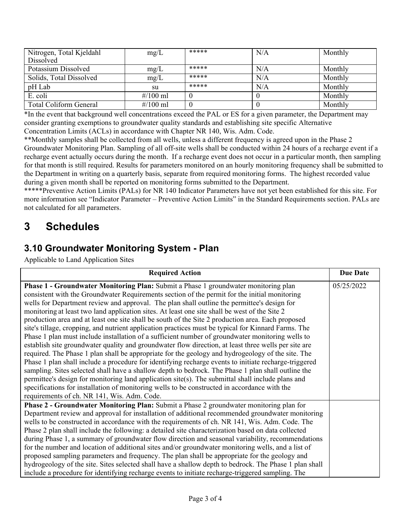| Nitrogen, Total Kjeldahl<br>Dissolved | mg/L                | ***** | N/A | Monthly |
|---------------------------------------|---------------------|-------|-----|---------|
| Potassium Dissolved                   | mg/L                | ***** | N/A | Monthly |
| Solids, Total Dissolved               | mg/L                | ***** | N/A | Monthly |
|                                       |                     | ***** |     |         |
| pH Lab                                | su                  |       | N/A | Monthly |
| E. coli                               | # $/100$ ml         |       |     | Monthly |
| Total Coliform General                | $\frac{\#}{100}$ ml |       |     | Monthly |

\*In the event that background well concentrations exceed the PAL or ES for a given parameter, the Department may consider granting exemptions to groundwater quality standards and establishing site specific Alternative Concentration Limits (ACLs) in accordance with Chapter NR 140, Wis. Adm. Code.

\*\*Monthly samples shall be collected from all wells, unless a different frequency is agreed upon in the Phase 2 Groundwater Monitoring Plan. Sampling of all off-site wells shall be conducted within 24 hours of a recharge event if a recharge event actually occurs during the month. If a recharge event does not occur in a particular month, then sampling for that month is still required. Results for parameters monitored on an hourly monitoring frequency shall be submitted to the Department in writing on a quarterly basis, separate from required monitoring forms. The highest recorded value during a given month shall be reported on monitoring forms submitted to the Department.

\*\*\*\*\*Preventive Action Limits (PALs) for NR 140 Indicator Parameters have not yet been established for this site. For more information see "Indicator Parameter – Preventive Action Limits" in the Standard Requirements section. PALs are not calculated for all parameters.

## **3 Schedules**

### **3.10 Groundwater Monitoring System - Plan**

Applicable to Land Application Sites

| <b>Required Action</b>                                                                                 | <b>Due Date</b> |
|--------------------------------------------------------------------------------------------------------|-----------------|
| Phase 1 - Groundwater Monitoring Plan: Submit a Phase 1 groundwater monitoring plan                    | 05/25/2022      |
| consistent with the Groundwater Requirements section of the permit for the initial monitoring          |                 |
| wells for Department review and approval. The plan shall outline the permittee's design for            |                 |
| monitoring at least two land application sites. At least one site shall be west of the Site 2          |                 |
| production area and at least one site shall be south of the Site 2 production area. Each proposed      |                 |
| site's tillage, cropping, and nutrient application practices must be typical for Kinnard Farms. The    |                 |
| Phase 1 plan must include installation of a sufficient number of groundwater monitoring wells to       |                 |
| establish site groundwater quality and groundwater flow direction, at least three wells per site are   |                 |
| required. The Phase 1 plan shall be appropriate for the geology and hydrogeology of the site. The      |                 |
| Phase 1 plan shall include a procedure for identifying recharge events to initiate recharge-triggered  |                 |
| sampling. Sites selected shall have a shallow depth to bedrock. The Phase 1 plan shall outline the     |                 |
| permittee's design for monitoring land application site(s). The submittal shall include plans and      |                 |
| specifications for installation of monitoring wells to be constructed in accordance with the           |                 |
| requirements of ch. NR 141, Wis. Adm. Code.                                                            |                 |
| <b>Phase 2 - Groundwater Monitoring Plan:</b> Submit a Phase 2 groundwater monitoring plan for         |                 |
| Department review and approval for installation of additional recommended groundwater monitoring       |                 |
| wells to be constructed in accordance with the requirements of ch. NR 141, Wis. Adm. Code. The         |                 |
| Phase 2 plan shall include the following: a detailed site characterization based on data collected     |                 |
| during Phase 1, a summary of groundwater flow direction and seasonal variability, recommendations      |                 |
| for the number and location of additional sites and/or groundwater monitoring wells, and a list of     |                 |
| proposed sampling parameters and frequency. The plan shall be appropriate for the geology and          |                 |
| hydrogeology of the site. Sites selected shall have a shallow depth to bedrock. The Phase 1 plan shall |                 |
| include a procedure for identifying recharge events to initiate recharge-triggered sampling. The       |                 |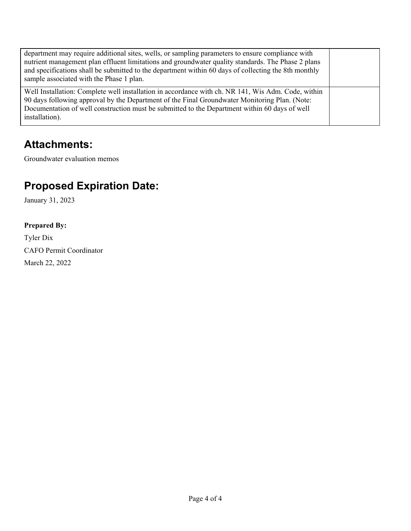| department may require additional sites, wells, or sampling parameters to ensure compliance with<br>nutrient management plan effluent limitations and groundwater quality standards. The Phase 2 plans<br>and specifications shall be submitted to the department within 60 days of collecting the 8th monthly<br>sample associated with the Phase 1 plan. |  |
|------------------------------------------------------------------------------------------------------------------------------------------------------------------------------------------------------------------------------------------------------------------------------------------------------------------------------------------------------------|--|
| Well Installation: Complete well installation in accordance with ch. NR 141, Wis Adm. Code, within<br>90 days following approval by the Department of the Final Groundwater Monitoring Plan. (Note:<br>Documentation of well construction must be submitted to the Department within 60 days of well<br>installation).                                     |  |

## **Attachments:**

Groundwater evaluation memos

# **Proposed Expiration Date:**

January 31, 2023

### **Prepared By:**

Tyler Dix CAFO Permit Coordinator March 22, 2022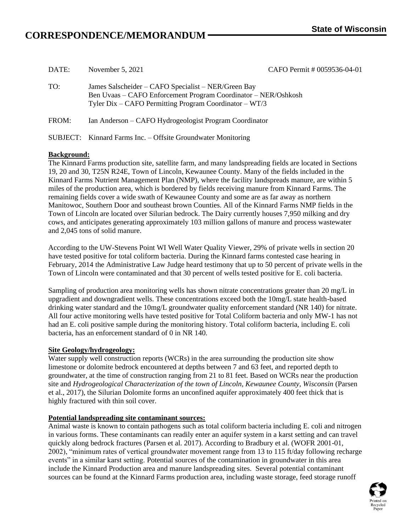# $CORRESPONDERCE/MEMORANDUM$  **State** of Wisconsin

| DATE: | November 5, 2021                                                                                                                                                                  | CAFO Permit # 0059536-04-01 |
|-------|-----------------------------------------------------------------------------------------------------------------------------------------------------------------------------------|-----------------------------|
| TO:   | James Salscheider – CAFO Specialist – NER/Green Bay<br>Ben Uvaas – CAFO Enforcement Program Coordinator – NER/Oshkosh<br>Tyler Dix – CAFO Permitting Program Coordinator – $WT/3$ |                             |
| FROM: | Ian Anderson – CAFO Hydrogeologist Program Coordinator                                                                                                                            |                             |
|       | SUBJECT: Kinnard Farms Inc. - Offsite Groundwater Monitoring                                                                                                                      |                             |

### **Background:**

The Kinnard Farms production site, satellite farm, and many landspreading fields are located in Sections 19, 20 and 30, T25N R24E, Town of Lincoln, Kewaunee County. Many of the fields included in the Kinnard Farms Nutrient Management Plan (NMP), where the facility landspreads manure, are within 5 miles of the production area, which is bordered by fields receiving manure from Kinnard Farms. The remaining fields cover a wide swath of Kewaunee County and some are as far away as northern Manitowoc, Southern Door and southeast brown Counties. All of the Kinnard Farms NMP fields in the Town of Lincoln are located over Silurian bedrock. The Dairy currently houses 7,950 milking and dry cows, and anticipates generating approximately 103 million gallons of manure and process wastewater and 2,045 tons of solid manure.

According to the UW-Stevens Point WI Well Water Quality Viewer, 29% of private wells in section 20 have tested positive for total coliform bacteria. During the Kinnard farms contested case hearing in February, 2014 the Administrative Law Judge heard testimony that up to 50 percent of private wells in the Town of Lincoln were contaminated and that 30 percent of wells tested positive for E. coli bacteria.

Sampling of production area monitoring wells has shown nitrate concentrations greater than 20 mg/L in upgradient and downgradient wells. These concentrations exceed both the 10mg/L state health-based drinking water standard and the 10mg/L groundwater quality enforcement standard (NR 140) for nitrate. All four active monitoring wells have tested positive for Total Coliform bacteria and only MW-1 has not had an E. coli positive sample during the monitoring history. Total coliform bacteria, including E. coli bacteria, has an enforcement standard of 0 in NR 140.

### **Site Geology/hydrogeology:**

Water supply well construction reports (WCRs) in the area surrounding the production site show limestone or dolomite bedrock encountered at depths between 7 and 63 feet, and reported depth to groundwater, at the time of construction ranging from 21 to 81 feet. Based on WCRs near the production site and *Hydrogeological Characterization of the town of Lincoln, Kewaunee County, Wisconsin* (Parsen et al., 2017), the Silurian Dolomite forms an unconfined aquifer approximately 400 feet thick that is highly fractured with thin soil cover.

### **Potential landspreading site contaminant sources:**

Animal waste is known to contain pathogens such as total coliform bacteria including E. coli and nitrogen in various forms. These contaminants can readily enter an aquifer system in a karst setting and can travel quickly along bedrock fractures (Parsen et al. 2017). According to Bradbury et al. (WOFR 2001-01, 2002), "minimum rates of vertical groundwater movement range from 13 to 115 ft/day following recharge events" in a similar karst setting. Potential sources of the contamination in groundwater in this area include the Kinnard Production area and manure landspreading sites. Several potential contaminant sources can be found at the Kinnard Farms production area, including waste storage, feed storage runoff

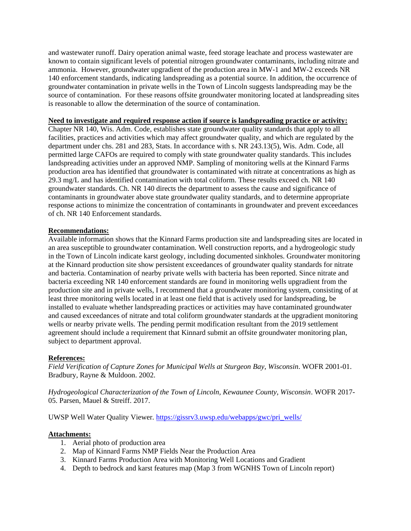and wastewater runoff. Dairy operation animal waste, feed storage leachate and process wastewater are known to contain significant levels of potential nitrogen groundwater contaminants, including nitrate and ammonia. However, groundwater upgradient of the production area in MW-1 and MW-2 exceeds NR 140 enforcement standards, indicating landspreading as a potential source. In addition, the occurrence of groundwater contamination in private wells in the Town of Lincoln suggests landspreading may be the source of contamination. For these reasons offsite groundwater monitoring located at landspreading sites is reasonable to allow the determination of the source of contamination.

#### **Need to investigate and required response action if source is landspreading practice or activity:**

Chapter NR 140, Wis. Adm. Code, establishes state groundwater quality standards that apply to all facilities, practices and activities which may affect groundwater quality, and which are regulated by the department under chs. 281 and 283, Stats. In accordance with s. NR 243.13(5), Wis. Adm. Code, all permitted large CAFOs are required to comply with state groundwater quality standards. This includes landspreading activities under an approved NMP. Sampling of monitoring wells at the Kinnard Farms production area has identified that groundwater is contaminated with nitrate at concentrations as high as 29.3 mg/L and has identified contamination with total coliform. These results exceed ch. NR 140 groundwater standards. Ch. NR 140 directs the department to assess the cause and significance of contaminants in groundwater above state groundwater quality standards, and to determine appropriate response actions to minimize the concentration of contaminants in groundwater and prevent exceedances of ch. NR 140 Enforcement standards.

### **Recommendations:**

Available information shows that the Kinnard Farms production site and landspreading sites are located in an area susceptible to groundwater contamination. Well construction reports, and a hydrogeologic study in the Town of Lincoln indicate karst geology, including documented sinkholes. Groundwater monitoring at the Kinnard production site show persistent exceedances of groundwater quality standards for nitrate and bacteria. Contamination of nearby private wells with bacteria has been reported. Since nitrate and bacteria exceeding NR 140 enforcement standards are found in monitoring wells upgradient from the production site and in private wells, I recommend that a groundwater monitoring system, consisting of at least three monitoring wells located in at least one field that is actively used for landspreading, be installed to evaluate whether landspreading practices or activities may have contaminated groundwater and caused exceedances of nitrate and total coliform groundwater standards at the upgradient monitoring wells or nearby private wells. The pending permit modification resultant from the 2019 settlement agreement should include a requirement that Kinnard submit an offsite groundwater monitoring plan, subject to department approval.

### **References:**

*Field Verification of Capture Zones for Municipal Wells at Sturgeon Bay, Wisconsin*. WOFR 2001-01. Bradbury, Rayne & Muldoon. 2002.

*Hydrogeological Characterization of the Town of Lincoln, Kewaunee County, Wisconsin*. WOFR 2017- 05. Parsen, Mauel & Streiff. 2017.

UWSP Well Water Quality Viewer. [https://gissrv3.uwsp.edu/webapps/gwc/pri\\_wells/](https://gissrv3.uwsp.edu/webapps/gwc/pri_wells/)

#### **Attachments:**

- 1. Aerial photo of production area
- 2. Map of Kinnard Farms NMP Fields Near the Production Area
- 3. Kinnard Farms Production Area with Monitoring Well Locations and Gradient
- 4. Depth to bedrock and karst features map (Map 3 from WGNHS Town of Lincoln report)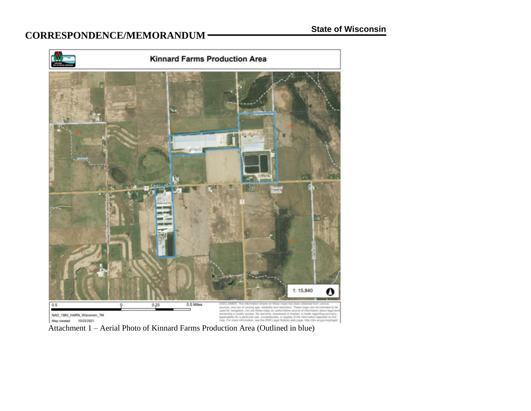# $CORRESPONDENCE/MEMORANDUM$  **State of Wisconsin**



Attachment 1 – Aerial Photo of Kinnard Farms Production Area (Outlined in blue)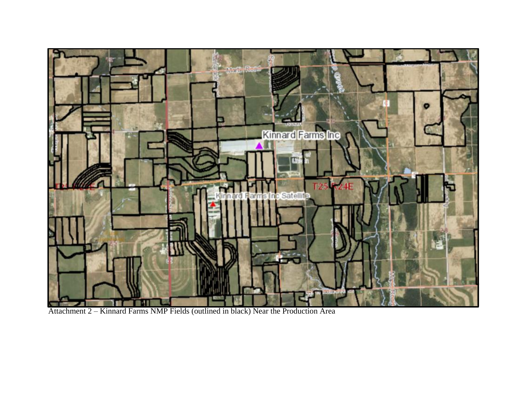

Attachment 2 – Kinnard Farms NMP Fields (outlined in black) Near the Production Area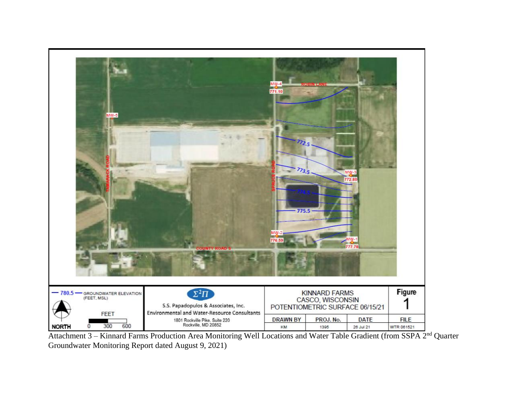

Attachment 3 – Kinnard Farms Production Area Monitoring Well Locations and Water Table Gradient (from SSPA 2<sup>nd</sup> Quarter Groundwater Monitoring Report dated August 9, 2021)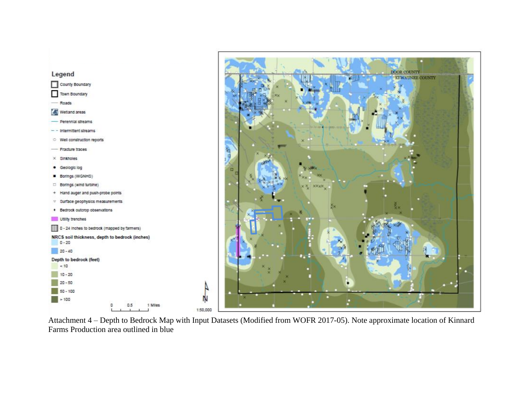

Attachment 4 – Depth to Bedrock Map with Input Datasets (Modified from WOFR 2017-05). Note approximate location of Kinnard Farms Production area outlined in blue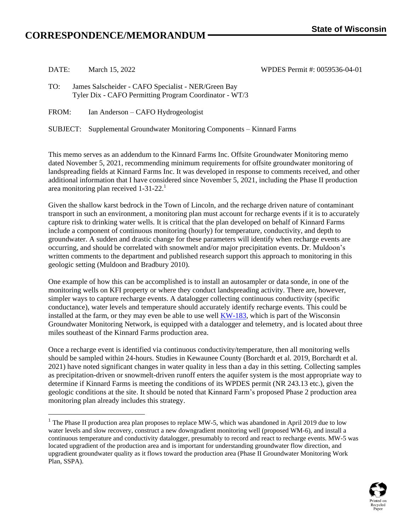# $CORRESPONDERCE/MEMORANDUM$  **State** of Wisconsin

| DATE: | March 15, 2022 |  |
|-------|----------------|--|
|       |                |  |
|       |                |  |

DATE: March 15, 2022 WPDES Permit #: 0059536-04-01

FROM: Ian Anderson – CAFO Hydrogeologist

SUBJECT: Supplemental Groundwater Monitoring Components – Kinnard Farms

This memo serves as an addendum to the Kinnard Farms Inc. Offsite Groundwater Monitoring memo dated November 5, 2021, recommending minimum requirements for offsite groundwater monitoring of landspreading fields at Kinnard Farms Inc. It was developed in response to comments received, and other additional information that I have considered since November 5, 2021, including the Phase II production area monitoring plan received 1-31-22.<sup>1</sup>

Given the shallow karst bedrock in the Town of Lincoln, and the recharge driven nature of contaminant transport in such an environment, a monitoring plan must account for recharge events if it is to accurately capture risk to drinking water wells. It is critical that the plan developed on behalf of Kinnard Farms include a component of continuous monitoring (hourly) for temperature, conductivity, and depth to groundwater. A sudden and drastic change for these parameters will identify when recharge events are occurring, and should be correlated with snowmelt and/or major precipitation events. Dr. Muldoon's written comments to the department and published research support this approach to monitoring in this geologic setting (Muldoon and Bradbury 2010).

One example of how this can be accomplished is to install an autosampler or data sonde, in one of the monitoring wells on KFI property or where they conduct landspreading activity. There are, however, simpler ways to capture recharge events. A datalogger collecting continuous conductivity (specific conductance), water levels and temperature should accurately identify recharge events. This could be installed at the farm, or they may even be able to use well [KW-183,](https://groundwaterwatch.usgs.gov/AWLSites.asp?mt=g&S=443535087345401&ncd=awl) which is part of the Wisconsin Groundwater Monitoring Network, is equipped with a datalogger and telemetry, and is located about three miles southeast of the Kinnard Farms production area.

Once a recharge event is identified via continuous conductivity/temperature, then all monitoring wells should be sampled within 24-hours. Studies in Kewaunee County (Borchardt et al. 2019, Borchardt et al. 2021) have noted significant changes in water quality in less than a day in this setting. Collecting samples as precipitation-driven or snowmelt-driven runoff enters the aquifer system is the most appropriate way to determine if Kinnard Farms is meeting the conditions of its WPDES permit (NR 243.13 etc.), given the geologic conditions at the site. It should be noted that Kinnard Farm's proposed Phase 2 production area monitoring plan already includes this strategy.

<sup>&</sup>lt;sup>1</sup> The Phase II production area plan proposes to replace MW-5, which was abandoned in April 2019 due to low water levels and slow recovery, construct a new downgradient monitoring well (proposed WM-6), and install a continuous temperature and conductivity datalogger, presumably to record and react to recharge events. MW-5 was located upgradient of the production area and is important for understanding groundwater flow direction, and upgradient groundwater quality as it flows toward the production area (Phase II Groundwater Monitoring Work Plan, SSPA).



TO: James Salscheider - CAFO Specialist - NER/Green Bay Tyler Dix - CAFO Permitting Program Coordinator - WT/3